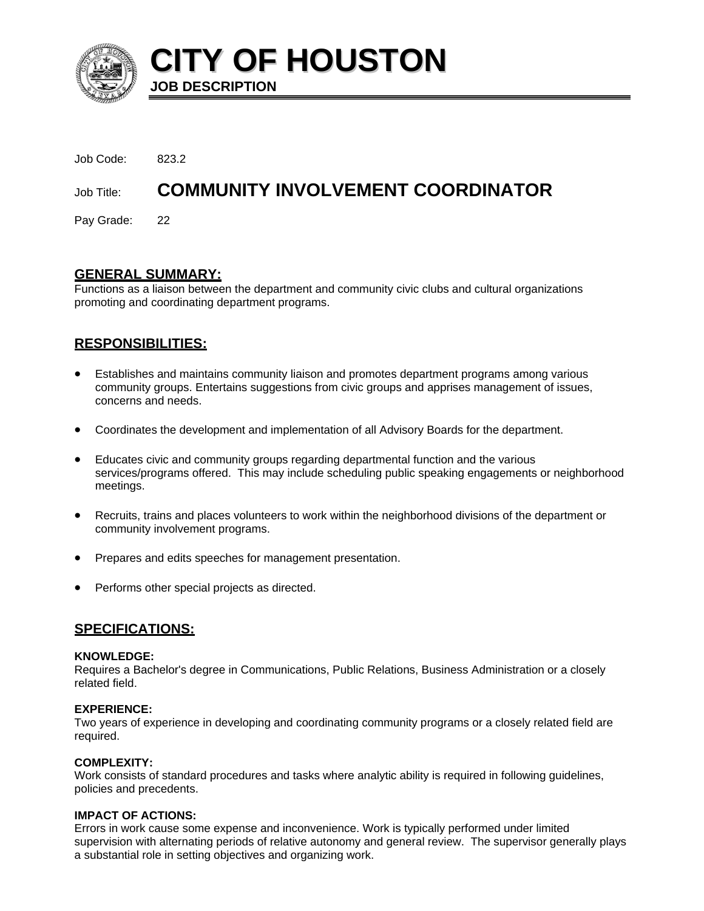

**CITY OF HOUSTON JOB DESCRIPTION** 

Job Code: 823.2 Job Title: **COMMUNITY INVOLVEMENT COORDINATOR**  Pay Grade: 22

# **GENERAL SUMMARY:**

Functions as a liaison between the department and community civic clubs and cultural organizations promoting and coordinating department programs.

# **RESPONSIBILITIES:**

- Establishes and maintains community liaison and promotes department programs among various community groups. Entertains suggestions from civic groups and apprises management of issues, concerns and needs.
- Coordinates the development and implementation of all Advisory Boards for the department.
- Educates civic and community groups regarding departmental function and the various services/programs offered. This may include scheduling public speaking engagements or neighborhood meetings.
- Recruits, trains and places volunteers to work within the neighborhood divisions of the department or community involvement programs.
- Prepares and edits speeches for management presentation.
- Performs other special projects as directed.

# **SPECIFICATIONS:**

## **KNOWLEDGE:**

Requires a Bachelor's degree in Communications, Public Relations, Business Administration or a closely related field.

## **EXPERIENCE:**

Two years of experience in developing and coordinating community programs or a closely related field are required.

## **COMPLEXITY:**

Work consists of standard procedures and tasks where analytic ability is required in following guidelines, policies and precedents.

# **IMPACT OF ACTIONS:**

Errors in work cause some expense and inconvenience. Work is typically performed under limited supervision with alternating periods of relative autonomy and general review. The supervisor generally plays a substantial role in setting objectives and organizing work.